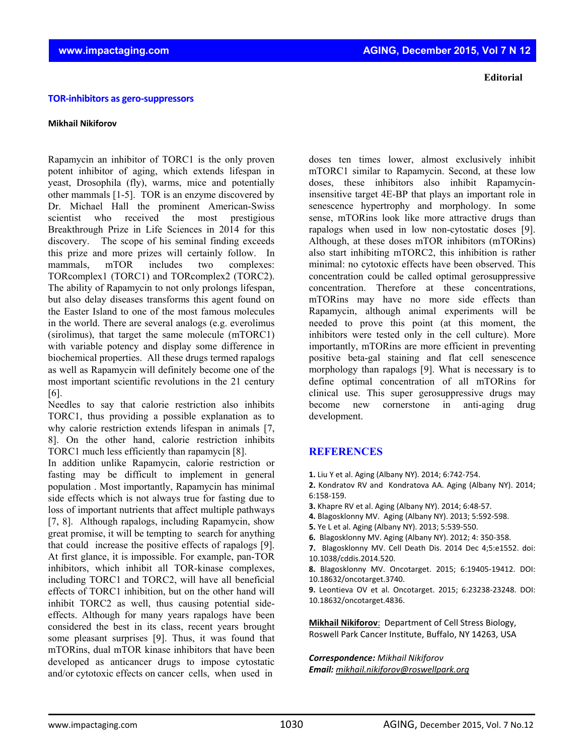## **TOR‐inhibitors as gero‐suppressors**

## **Mikhail Nikiforov**

Rapamycin an inhibitor of TORC1 is the only proven potent inhibitor of aging, which extends lifespan in yeast, Drosophila (fly), warms, mice and potentially other mammals [1-5]. TOR is an enzyme discovered by Dr. Michael Hall the prominent American-Swiss scientist who received the most prestigious Breakthrough Prize in Life Sciences in 2014 for this discovery. The scope of his seminal finding exceeds this prize and more prizes will certainly follow. In mammals, mTOR includes two complexes: TORcomplex1 (TORC1) and TORcomplex2 (TORC2). The ability of Rapamycin to not only prolongs lifespan, but also delay diseases transforms this agent found on the Easter Island to one of the most famous molecules in the world. There are several analogs (e.g. everolimus (sirolimus), that target the same molecule (mTORC1) with variable potency and display some difference in biochemical properties. All these drugs termed rapalogs as well as Rapamycin will definitely become one of the most important scientific revolutions in the 21 century [6].

Needles to say that calorie restriction also inhibits TORC1, thus providing a possible explanation as to why calorie restriction extends lifespan in animals [7, 8]. On the other hand, calorie restriction inhibits TORC1 much less efficiently than rapamycin [8].

In addition unlike Rapamycin, calorie restriction or fasting may be difficult to implement in general population . Most importantly, Rapamycin has minimal side effects which is not always true for fasting due to loss of important nutrients that affect multiple pathways [7, 8]. Although rapalogs, including Rapamycin, show great promise, it will be tempting to search for anything that could increase the positive effects of rapalogs [9]. At first glance, it is impossible. For example, pan-TOR inhibitors, which inhibit all TOR-kinase complexes, including TORC1 and TORC2, will have all beneficial effects of TORC1 inhibition, but on the other hand will inhibit TORC2 as well, thus causing potential sideeffects. Although for many years rapalogs have been considered the best in its class, recent years brought some pleasant surprises [9]. Thus, it was found that mTORins, dual mTOR kinase inhibitors that have been developed as anticancer drugs to impose cytostatic and/or cytotoxic effects on cancer cells, when used in

 **Editorial**

doses ten times lower, almost exclusively inhibit mTORC1 similar to Rapamycin. Second, at these low doses, these inhibitors also inhibit Rapamycininsensitive target 4E-BP that plays an important role in senescence hypertrophy and morphology. In some sense, mTORins look like more attractive drugs than rapalogs when used in low non-cytostatic doses [9]. Although, at these doses mTOR inhibitors (mTORins) also start inhibiting mTORC2, this inhibition is rather minimal: no cytotoxic effects have been observed. This concentration could be called optimal gerosuppressive concentration. Therefore at these concentrations, mTORins may have no more side effects than Rapamycin, although animal experiments will be needed to prove this point (at this moment, the inhibitors were tested only in the cell culture). More importantly, mTORins are more efficient in preventing positive beta-gal staining and flat cell senescence morphology than rapalogs [9]. What is necessary is to define optimal concentration of all mTORins for clinical use. This super gerosuppressive drugs may become new cornerstone in anti-aging drug development.

## **REFERENCES**

- **1.** Liu Y et al. Aging (Albany NY). 2014; 6:742‐754.
- **2.** Kondratov RV and Kondratova AA. Aging (Albany NY). 2014; 6:158‐159.
- **3.** Khapre RV et al. Aging (Albany NY). 2014; 6:48‐57.
- **4.** Blagosklonny MV. Aging (Albany NY). 2013; 5:592‐598.
- **5.** Ye L et al. Aging (Albany NY). 2013; 5:539‐550.
- **6.** Blagosklonny MV. Aging (Albany NY). 2012; 4: 350‐358.
- **7.** Blagosklonny MV. Cell Death Dis. 2014 Dec 4;5:e1552. doi: 10.1038/cddis.2014.520.
- **8.** Blagosklonny MV. Oncotarget. 2015; 6:19405‐19412. DOI: 10.18632/oncotarget.3740.
- **9.** Leontieva OV et al. Oncotarget. 2015; 6:23238‐23248. DOI: 10.18632/oncotarget.4836.

**Mikhail Nikiforov**: Department of Cell Stress Biology, Roswell Park Cancer Institute, Buffalo, NY 14263, USA

## *Correspondence: Mikhail Nikiforov Email: mikhail.nikiforov@roswellpark.org*